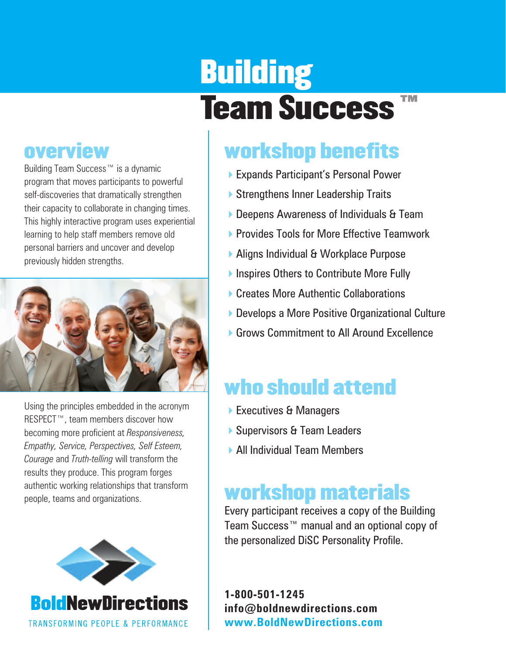# **Building** Team Success<sup>™</sup>

## overview

Building Team Success™ is a dynamic program that moves participants to powerful self-discoveries that dramatically strengthen their capacity to collaborate in changing times. This highly interactive program uses experiential learning to help staff members remove old personal barriers and uncover and develop previously hidden strengths.



Using the principles embedded in the acronym RESPECT™, team members discover how becoming more proficient at *Responsiveness, Empathy, Service, Perspectives, Self Esteem, Courage* and *Truth-telling* will transform the results they produce. This program forges authentic working relationships that transform people, teams and organizations.



## workshop benefits

- ▶ Expands Participant's Personal Power
- ▶ Strengthens Inner Leadership Traits
- ▶ Deepens Awareness of Individuals & Team
- **Provides Tools for More Effective Teamwork**
- ▶ Aligns Individual & Workplace Purpose
- ▶ Inspires Others to Contribute More Fully
- ▶ Creates More Authentic Collaborations
- ▶ Develops a More Positive Organizational Culture
- **6** Grows Commitment to All Around Excellence

## who should attend

- ▶ Executives & Managers
- ▶ Supervisors & Team Leaders
- **All Individual Team Members**

## workshop materials

Every participant receives a copy of the Building Team Success™ manual and an optional copy of the personalized DiSC Personality Profile.

**1-800-501-1245 info@boldnewdirections.com www.BoldNewDirections.com**